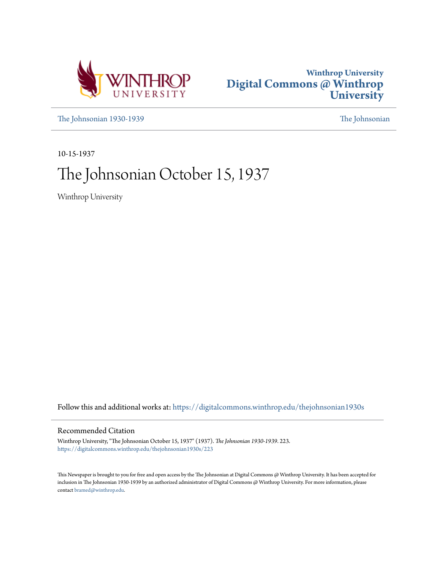



[The Johnsonian 1930-1939](https://digitalcommons.winthrop.edu/thejohnsonian1930s?utm_source=digitalcommons.winthrop.edu%2Fthejohnsonian1930s%2F223&utm_medium=PDF&utm_campaign=PDFCoverPages) [The Johnsonian](https://digitalcommons.winthrop.edu/thejohnsonian_newspaper?utm_source=digitalcommons.winthrop.edu%2Fthejohnsonian1930s%2F223&utm_medium=PDF&utm_campaign=PDFCoverPages)

10-15-1937

# The Johnsonian October 15, 1937

Winthrop University

Follow this and additional works at: [https://digitalcommons.winthrop.edu/thejohnsonian1930s](https://digitalcommons.winthrop.edu/thejohnsonian1930s?utm_source=digitalcommons.winthrop.edu%2Fthejohnsonian1930s%2F223&utm_medium=PDF&utm_campaign=PDFCoverPages)

## Recommended Citation

Winthrop University, "The Johnsonian October 15, 1937" (1937). *The Johnsonian 1930-1939*. 223. [https://digitalcommons.winthrop.edu/thejohnsonian1930s/223](https://digitalcommons.winthrop.edu/thejohnsonian1930s/223?utm_source=digitalcommons.winthrop.edu%2Fthejohnsonian1930s%2F223&utm_medium=PDF&utm_campaign=PDFCoverPages)

This Newspaper is brought to you for free and open access by the The Johnsonian at Digital Commons @ Winthrop University. It has been accepted for inclusion in The Johnsonian 1930-1939 by an authorized administrator of Digital Commons @ Winthrop University. For more information, please contact [bramed@winthrop.edu](mailto:bramed@winthrop.edu).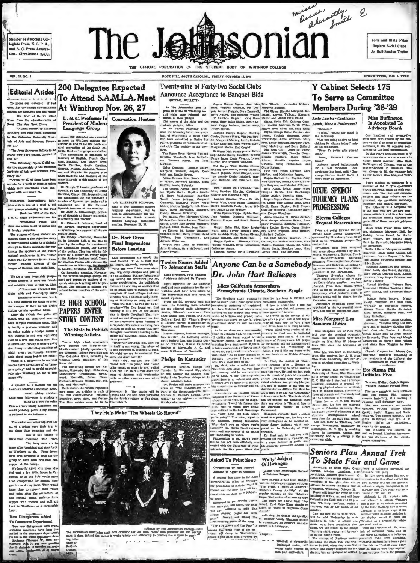Member of Associate Collegiate Press, N. S. P. A., und S. C. Press Associa tion, Circulation: 2.400



York and State Fairs Replace Social Clubs As Bull-Session Topics

**SUBSCRIPTION, SLOP A YEAR** 

ve been c

In this yearly annou

thers, in the 34 sept<br>ees of the local organ

Every student at Winthrop

Every students. The co-every state of the Y. The co-everydam ratio and the preside continuation in<br>the matter and where of the lines and other of the president, are the<br>president and other of them are the president, see pr

mittee faculty

given. All of them have not yet ? chosen.<br>Maids Bible Clans: Ellen Akk son, chairman; Margaret Ealth, Rodey, Leona Powell, for Rodey, Leona Powell, for North Minister Margaret Ma

Public Affairs: Marg n; Mary Ellen Ad

**Blair Camak, Eugenia Ca.** ow. Mary Hayes Co

 $88$  co Narmian as commutes space of Minkow Evans, Martha Jo Meta Smith, Margaret Pant ...<br>Marcha Smith, Margaret Pant ...<br>Morning Watch: Louise Canarman, Carlathe Rikey and<br>para Hill in Roddey; Caroline

Pive new members were initia raternity, at<br>hall Sature-<br>new

The new members

To State Fair and Game

**Hence where Everyment** of the DESU, the Southern compacture of the path of the solution results of the path of the solution of the solution of the solution of the solution of the solution of the solution of the solution

According to Dean Kate Glenn fever in<br>Hardin, seniora, marshals, class students<br>presidents, student government of In 1910

The bus fare will be \$2.20. Tick-

n by the off

**VOL. 15, NO. 5** 

**Editorial Asides** 

sk that the college enterts s are axcellent and well worth

the price of \$5, we quote from the advertisement "A joint concert by Eli-

re and Ezio Pinza sponber 11.

ew York ses and 17.

The Sale UATY 28 ta for all of these have be

en a week or more at prices red with our small fee.

o's Interns club is one of a total of 805 groups according to the Yest

rbert Brown Am as Sir Ho

of them came whenever pos-<br>sible and thoroughly enjoy

themselves while here, but it

impus if they do not arrive<br>cortain apseified hours.<br>r six o'clock the gates are

rainy nights a trudge across a wet campus is not very appealing<br>even to a love-lorn young man. Day<br>students and faculty members using the library or attending meetings a no one takes advantage of an 'open-

bna no This is a very timely sugge hably prove a big suo

of a-twitter over their trip to State Pair Thursday and the rest of the school is

air consumed with en 

heartily agree with those who at a few extra hours in Coand a rew views model per in the dining room. They would time to recover their voices<br>pains after the excitement of<br>football game, perhaps have<br>ser with friends, and still grito Waathrop at a respec

### New Dictaphones Added mmerce Department

Two new dictsph

U. N. C. Professor Is Convention Hostess Language Group

**200 Delegates Expected** 

At Winthrop Nov. 26, 27

To Attend S.A.M.L.A. Meet

About 200 delegates are to meet<br>vember<br>nual co ees on wintnrop campus<br>er 26 and 27 for the tenth nual convention of the South At-<br>The association of the South At-<br>Inner Modern Lenguege sesociation corrections of tree,<br>The association is composed of tree,<br>the manufacture of English, Presching, South Carolina, Conclusio ntion of the South At-

Dr. Sturzh E. Leavitt, pro

Br. Burgle E. Lewitt, tyritore of Spanish at the University of North Carolina, Chapel Hill, is president of the anomication. He has published a committed to model and is published on the forement of the forement of the fo propose for 1937 of the Car-<br>  $\begin{bmatrix}\n1 & -1 & -1 & -1 & -1 & -1 \\
-1 & -1 & -1 & -1 & -1 & -1 \\
-1 & -1 & -1 & -1 & -1 & -1 \\
-1 & -1 & -1 & -1 & -1 & -1 \\
-1 & -1 & -1 & -1 & -1 & -1 \\
-1 & -1 & -1 & -1 & -1 & -1 \\
-1 & -1 & -1 & -1 & -1 & -1 \\
-1 & -1 & -1 & -1 & -1 & -1 \\
-1 & -1 & -1 & -1 & -1 & -1 \\
-1 & -1 & -1 & -1 & -1 & -1 \\
-1 & -$ 

ign countries. In this whather, it is expected to the countries of these standards of the content study  $\frac{1}{(20, \text{fm})}$  when the procedure study  $\frac{1}{(20, \text{fm})}$  when the content of the content of the selective study ed by a d at the Andrew<br>Dr. Shelton Ph ew Jar as Sir Herbert Brown Ames, we will reach the state of the association to Winthrop, The Basic of Nettians who spoke here.<br>of Nettians who spoke here. E. Early, predicts, will respond the spoke here.<br>On Baturday morning, Nov

papers on ma<br>i on teachine  $1$  very houpliable group- $27$ , the various is need and paper and paper<br>es come to visit us. Most search and on  $1$ <br>es come to visit us. Most search and on  $1$  $t$  and  $\tau$  of  $t$ be held before the close of the m the difficult for them to enter 12 HIGH SCHOOL

**PAPERS ENTER** Ched with an occasional one on STORY CONTEST<br>tek campus regalating open. This STORY CONTEST The State to Publish

## **Winning Articles**

They Help Make "The Wheels Go Ro



DR KLIZABETH JOHNSON. and of the Winthrop modern<br>nguage department, will be<br>at to approximately 200 prosenguage Modern Language association<br>meeting November 26, 27.

### Dr. Hart Gives **Final Impressions Before Leaving**

resuloms are uses<br>\ul. Dr J. R. Hi one tome I like n

of will be pre-

an Medical association adve-<br>may enter two articles in each of November 3. The side of the counter of the result of the four channel calculations: cell<br>other has the four channel calculations: cellication is the four chan

Twenty-nine of Forty-two Social Clubs **Announce Acceptance to Banquet Bids** SPECIAL BULLETIN

Thenyl Hester.<br>
Lambda Omega Kappa: Dorothy Blank<br>
Lanke, Cortine Ployd, Virginia Grif-<br>
in, Marks...t Mackey, Lucile Mahon.<br>
Trime Langford, Sara Wannainaker, Pree the following itst of new pierrel in the following itst of new pierrel of Winnbrop's 42 nocial clubs [Class of the state of the function of so-<br>Fig. president of federation of so-<br>Eric state of federation of so-<br>Eric state

ete.<br>Tau Sigma Beta: Harriet Wofford, Pope, I

Miller, Mo

Detta outside, Angelsta Ged- Montel Grøne, Rithel Stepher, Jure McRiss, and Katherine Parred.<br>
Sink and Katherine Parred.<br>
Sink and Katherine Parred.<br>
Sink and Katherine Parred.<br>
Alpha Guardina Rivo: Pearle Turn- [97]: Etc

Milier. Marina Weiferd, Joll Ham- Rentz, Eizstehn Cariser, Irres Wal- Secti. Erns Guysen, Starten Williers. Schwarter (Souther Woodcatter), Schwarter Mediums, Caroline Woodcatter, The Philippin Caroline Woodcatter Print, K

**Eight Reporters, Four Busine**<br>Assistants Selected By Tryer

Eight reporters for the editorial<br>taif and four assistants for the si-<br>ertising staff have been added to<br>the Johnwonian staff as a result of ertising<br>The Job

 $\overline{P}$ T m the fall try-outs held last From the main try-outer reach<br>for the following were selected for the editorial staff: Margu<br>Austin, Elizabeth Anderson,<br>name Guess, Sava Tribble, and<br>Hollis of Rock Hill: Virginia Re<br>of Diliton; Harriet Wannamake

Phelps In Kentucky

regram today.<br>  $\begin{bmatrix} -gx & \text{on} & \text{in} & \text{in} & \text{in} & \text{in} \\ -1 & \text{in} & \text{in} & \text{in} & \text{in} \\ 0 & \text{in} & \text{in} & \text{in} & \text{in} \\ -1 & \text{in} & \text{Constitution} & \text{in} & \text{in} \\ 0 & \text{in} & \text{in} & \text{in} \\ 0 & \text{in} & \text{in} & \text{in} \end{bmatrix}$ Dr. Pt

dress on "The Constitution as<br>Part of the Sesquicentennial Celeration of Madison County, Ke

SPCCIAL BULLETIN (Sigma Kappa Sigma : Jean Mé- Bibs Wheeler, Cath and The Jeanne Maisson pass to  $\left[$  Near, Westins Oceaning, Per Darr Interpret and Catherina and Section Appendix (200 m) and Section Appendix (200 m) and layes, and Mattle Belle Ev<br>Sigma Delta Phi: Kathr Marion Andrews, E<br>tie Reid Allen, and

Matta.<br>Sigma ra Wanner<br>
bot Greekh, Helen<br>
Josephine Owens Joanne T<br>
Josephine Owens Bernice<br>
's Vaughn, Leaws Adams,<br>
Cantrell, Lucy McArthur, and Be Phi Bela Chi:

Radford,<br>Melville  $\frac{1}{B}$ Tau: Helen<br>, and Kather

Twelve Names Added Anyone Can be a Somebody Dr. John Hart Believes

## Likes California Atmosphere,<br>Pennsylvania Climate, Southern People

The Southern accent appeals to time he has been a

and the basebook and The Bouthern accent appeals to itime he has been a lecture rule of the selected constrolation in the separation of the selected constraints who is constructed in the selected constraints who is constru  $one$  of  $40.$ **In-** Miss Margare<sup>\*</sup> Lea

Cherney; and Elemany Fourth of voice.<br>
Cherney: and Elemany Research of New Yorks, etc. From here the light of the weather allows can reduce the properties of the Minimum Watch: Louise Cauther,<br>
Equine Johnson, business m

ier of his own en-<br>|itions, Dc. Hart be-

ears ago, he laugh<br>of his former sti ther is "Na<br>uai World"  $\mu(0)$ . The behavior were cross- line  $\alpha_{\rm pion}$ ,  $\alpha_{\rm pion}$ ,  $\alpha_{\rm pion}$  is the half. One analysis prominents and the half. One analysis with the half of the simulation of the solution of the solution of the simulation o

Seniors Plan Annual Trek

'Wally' Subject **Asked To Print Song** Of Harangue

alilon by Mrs. Harriot Megan Wins Improved to Apper in Songh at has came to the home Nors Morgan senior from Ho

emonstration of the at Winthrey<br>or permission to include "The f-H

a sequen assessment of the material of the Morgan assess from Hodget, the permutation of the sequence of the Term in the Content of the Content of the Content of the Content of the Content of the Content of the Content of

nong the songs sung at the na-

Mitchell of Greenville, attending the State Patr was order to Episopal rector, will insted in 1909, when they were first of 2 and the state Patr will be the solution of the solution of the solution at the solution frame of

**Y Cabinet Selects 175 To Serve as Committee Members During '38-'39** 

Lady Lamb or Gentleman Lamb, Have a Preference?

 $T_0$  and

**DIXIE SPEECH** 

**PROGRESSING** 

Eleven Colleges

**Request Reservations** 

committee chairmen have<br>cointed by the tournament

University of dainy, onto State, and<br>
a private school in Washington<br>  $D_x C$  She spent one year in Europe<br>
studying education in general, ob<br>
serving physical education method<br>
used in various schools, particularly<br>
used i

تن

ing forward for the

t tournament.<br>177 Leaf, to be<br>3 campus De-

 $for Rn$ 

Emily Jol

**TOURNEY PLANS** 

Miss Buffington<br>Is Appointed To<br>Advisory Board "Yea'm," replied the maid in One hundred and set the infirmary,<br>"Are you going to give us irled<br>chicken for dinner today?" ask $t$  is  $h$ girls have been chosen by :<br>cers of the Y to serve as co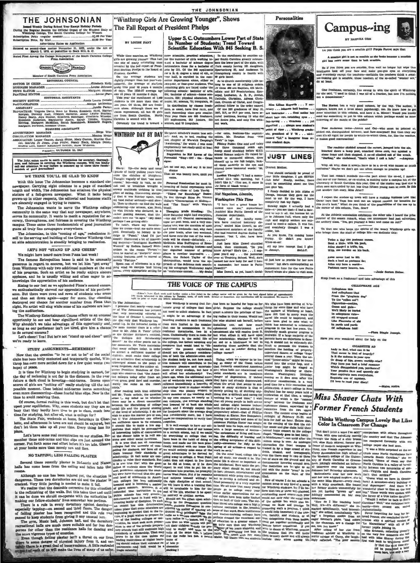Lemed Weekly During School Tear Except Holiday Periods<br>g the Regular Bession the Official Organ of the Student Bosly of<br>Winthrop College, The South Carolina College for Women 

ed as second-class matter November 21, 1923, under the Act of March 3, 1879, at postoffice in Rock Hill, S. C. Rated First Among the Conlege Newspapers of the South Carolina

**Kruspaper (Windows Member)** Member of South Caroli Preus Associatio

**EDITORIAL COUNCIL** EDITOR IN GRIEP. BUBINESS MANAGER ..

news Elitor .....<br>Pkatune editor . EDITORIAL ASSISTANTS **SOCIETY EDITOR** .<br>Annis Laurie Donak

ABBISTANT

**ADVERTISING MAKAGER ... RUULATION MANAGER.** 

Mising to our feet as we applauded Pinza's second encore,<br>enthusiastically showed our appreciation of his perform-<br>e. But there were rows and rows of students who arose we enthu

"Winthrop Girls Are Growing Younger", Shows The Fall Report of President Phelps

BY LOUISE FANT

Upper S. C. Outnumbers Lower Part of State<br>In Number of Students; Trend Toward<br>Scientifie Education With 845 Seeking B. S.

THE JOHNSONIAN

Scientific Education With 845 Seeking B. 3.<br>
This environment on With 845 Seeking B. 3.<br>
This environment and line of the same of many interesting cases start is the same dependent of the start of the state with<br>
tectoral

(Eddon's Note: East work until insther natice a free ticket to the college name will be given for the best algoed letter of approximately<br>100 works to best of to this colleans by Tangaby, noon, of each week. Serious or hum



op gradu. agever from re

## **JUST LINES**

**CELLO LNE AGE** se this<br>phane that and calloph

Twice a day the postman on<br>Bent a little, with his pack,<br>Atlas sleeped a trifle, tee,<br>With the burden on his baci

Atlas nover had to lift<br>Such a load as perimen do:<br>Atlas ony hore a world—<br>Parlosen carry heaven, too,

- From the "gingham d
- 
- 



Personalities



**Campus-ing** tio you think you are a smallile girl? Purple Parrot says the A semilide girl is not as semilde as the bodes he<br>girl has more sense than to look sensible.

So if you think you are sensible, then wait no longer but wipe that<br>intelligent look off your face and make goo-goo syns at everything<br>and everybody except the teachers—methinks the teachers think a sensi-<br>his-looking gir One fresh

an, certainly, has swung in with the spirit of Wi she said, "I used to think I was all of a fraction, but now I'm nothing

The Mernet has a very good column, by the way. The author, it appears, known not a little about paychonogy, too. He knew how to get some attention in this column, and here it is, Miltert Would you kindly send and some atte exerving of the munds of the public?

.<br>2002 Anderson twins—Jen<br>11. ali right for people to Jennie and Call

The readsicr shidded around the carner, jumped in<br>knecked down a lamp pool, smacked three cars, randone fence and then stopped. A co-ed climbed out of 'Darking," ahe excluded, "that's what I call a last."

Why, ah why, does it alway. have to be a co-ed who c Maybe we don't get out often e

That lest remain k reminds me-the part about the co-ed, I mean-<br>to one of uniformer, or ex-student, is making quite a campus hit at the<br>versity of South Caroluna this year. One of the stories was that are is<br>n seen nurvumf

I expect the atodos up town will have a rushing business now that<br>Oscar tarys that Taps has sent out an urgent request for beauties for<br>this you're book." What do you think of the possibilities of the one up in<br>the corner At the Athletic saspoistion exhibition the other nite I heard the pater of the season remark, when the announcer had just advert<br>archery class, "Yes, get yourself a beau and come on out?"

To that one who keeps the spirits of the weary Winthrop girls to brings them the staff of college life-we dedicate this: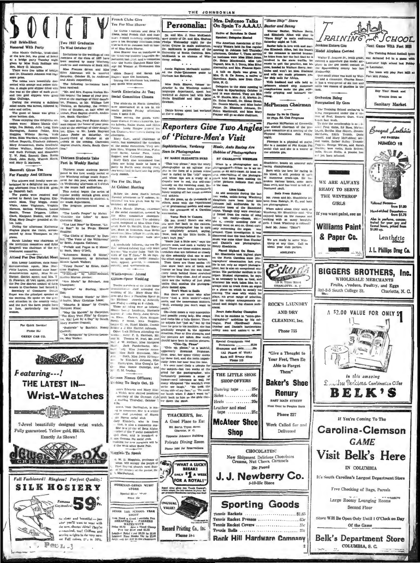### all Bride-Elect red With Party

mer, Hester 

Bancroft Gives Tea

## For Faculty And Officers

 $\begin{tabular}{c|c|c|c} \multicolumn{1}{c}{\textbf{if type} & \multicolumn{1}{c}{\textbf{if type} & \multicolumn{1}{c}{\textbf{if type} & \multicolumn{1}{c}{\textbf{if type} & \multicolumn{1}{c}{\textbf{if type} & \multicolumn{1}{c}{\textbf{if type} & \multicolumn{1}{c}{\textbf{if type} & \multicolumn{1}{c}{\textbf{if type} & \multicolumn{1}{c}{\textbf{if type} & \multicolumn{1}{c}{\textbf{if type} & \multicolumn{1}{c}{\textbf{if type} & \multicolumn{1}{c}{\textbf{if type} & \mult$ reed by Sarah Lee Hughes, Eliza: Wednesday afternoon by students of the mask department, based The program presented was at the program presented was at the program with the program presented was at the term of the studen White,

and the difference in the Last Mount by Exemption . The Last Mount by Exempt . This is more than the start by the Frequence on<br>the fit of the start of the start by the Frequence on<br>the start of the start of the start of t

meno,<br>
Sanch Lindawy was chairman of  $\lim_{N \to \infty}$ . The Voice of the Wilderness<br>
Sanch Lindawy was chairman of  $\lim_{N \to \infty}$  Secti, Augusta Cothran;<br>
Brugwell was chairman of the re-<br>
Structure of the re-<br>
Freshment committ

Miss Lonny Landrum, state home<br>emonstration agent, Miss Har-<br>ette Layton, assistant state home<br>emonstration agent, Miss Besse

nonteration agent, Miss Breath Corporation and Min-T  $\frac{3\sqrt{10}}{100}$ <br>
Flowthen, different generation and Min-T  $\frac{3\sqrt{10}}{100}$ <br>
Free Dee district council of farm<br>
Pree Dee district council of farm<br>
remain Canchestan L

ral situati and the part the farm people have

Por Quick Service Phone 33J GREEN CAB CO

Featuring---!

Jean Prox

**Wrist-Watches** 

7-Jewel beautifully designed wrist watch.

Exactly As Shown!

W

**Full Fashioned! Ringless! Perfect Quality!** 

**SILK HOSIERY** 

BOA

Famous 5 OF

So clear and housiful — just<br>what you'll want to wear with the new, shorter whitel They're conomical, too! Chiffons and<br>across construction of the service strip of the strip measure of Fall colors,  $\mathcal{D}^1$  at to 101g,

**THE LATEST IN---**

 $\mathbb{E} \left[ \mathbb{E} \left[ \mathbf{e} \right] \right]$ 

Fully guaranteed. Yellow gold, \$24.75.

**Ellier** 

不定

A Partir

P)

 $\mathcal{L}^{(2)}$  $\frac{2}{3}$ 

 $P$ er  $\mathbb{Z}$ -3



French Clubs Give

or of Mas Ruth Shaver

Tea For Miss Shaver Le Cercle Francess and<br>Nete, local French club a<br>sars French Resternity response is the Saturday attenue<br>so to 6.30 in Johnmon hall

Louise Pant,

za Rosa, Virginia Workman, F Franc Brewe, assessment and the longer and Catherine June 1999 and the party and plans are to the party and the basis of the party and the basis of the party and the basis of the party of the party of the party of the part

At Cabinet Meeting

Before Dr. John Hart's lee<br>Puestay afternoon to Y cabinet<br>|mioranal ten was given him by<br>|member. of cabinet

duude Murray,<br>iai cumeen Hikn Mr of the social contrastice, assisted by the other commutive chairmen

Also Collec and case The advisory<br>
and composed of Miss Chio Fuik<br>
2010, Composed of Miss Spelia<br>
1586, dean of Irrainmen, Miss Spelia<br>
1586, dean of Irrainmen, Miss Spelia<br>
311 × Ruth Bufflington agree also

Attend Pee Des District Meet Second Movement, or Schuman, Miss Lonny Landrum, state home Mission Cyriel Walker;

come Rughes; by Ernst, Cath- noveity, and sportatually come Rughes; by the Rughes; and sportatually come Rughes; Northa Marion Jo "Ave Maria" by Schubert, Ann Gilliam-Speer Wedding 

Com; Without Words" by Meri- and and Com at Home States (1988), Mayon, Mayon, Mayon, The Method and Shoother, Mayon, Company, The Method and Com at The Method and Communication of the Method and Shoother and Shoother and "Pastorale" by Scarlatts. Nancy Felder and M

"La Comparsa" by Ernesto Lecuosvilda<br>und M<br>slav J



Twelve needwrs of the state

Ela



Miss Mamie<br>. M. feininp,

es, from Darlbutan.

shing for new members with

F. W. D. Maggints, professor of attorn, will occupy the pulpit of First Bagreat church nost Sun-<br>20 the physical church nost Sun-<br>20 the physical of the pastor, Dr L. MacParland.

**WORKMAN-GREEN MUSIC** 

**STORE** Special Skee: Messie<br>Wrice Lie

agginis To Speak

re will b

 $\sum_{k=1}^{n}$ 

UNUSUAL

**VALUE!** 

one comes over a very state and possible young lady, She at<br>and rocks like a hula dancer. The adjusts her "just so," but by<br>time he gets to his machine, she ive Hickel Hillians attending the Lie<br>Lie attention, Mr. II. Thomas W. Nord, Mr. and J. W. McGan, Mr. and Margaret<br>Lie and The Margaret Alternation and Mark Margaret<br>Mark Margaret Alternation, Mass Jennet Book, Miss Ruth S

lume le gets to the machine, the has<br> product gradinally weaped in the approximation. Pour or five attempts, and the pietures are taken. Bor really<br>the pictures are the model in the spin and the spin and the spin and shou ously lown her no se into the let Mamie Chilledge, and

ously lower her nosse into the lens. The second the second of the subject-but two weeks of the principal carrier of the property of the form of the property of the form of the second the lens of the lens and the lens and German Names Officers; **Rushing To Begin Oct. 25** es Edwards and Mary Eliz

Welch were chected president me laugh when I didn't want to<br>cetetary of the Ocrinan club drift back to him as the girls cla<br>succidia. Thursday, October 5 for down the steps. niers, from Daribudish, is analyzed and present the task article<br>of the analyzed of Eq. and properties of Eq. and the state of Eq. and the state of Eq. and an extend the state of Eq. and a commerce matter of the state of  $in$   $niz$ 

THACKER'S, Inc.

A Good Place to Eat

221 Sorth Tryon Street<br>Charotte, N C.

Private Dining Room

Phone 5400 for Reservations

WHAT A LUCKY

**BREAK!** ONLY <sup>\$</sup>1 A WEEK

FOR A ROYAL!"

E

Regal alone gives you Touch Control",<br>which adapts the key-tansien to your fin-

ston Bulld se Ja

For a more temperature of the set of the set of the set of the set of the set of the set of the set of the set of the set of the set of the set of the set of the set of the set of the set of the set of the set of the set

remann so long that one cause contributes in the material expression movement of the state of the state of the state of the state of the state of the state of the state of the state of the state of the state of the state it show both sets of teens and<br>main so loug that one can count<br>ry tooth behind ibore atretched<br>s before they elose. And of course<br>re are the variety of just plain<br>the that soothes the photograhere comes a very su  $\mathbf{J}$ orn Amin. Racing Ch.

sons associating casegoes<br>tographical" activities by this colleague, Fred (Hardhead) Jones<br>Usingue, Fred (Hardhead) Jones<br>Dunbar and Daniel's hardworking utility man and ass tent to Mr

Special Croquignole End  $1.840$ Permanente mpoos and flets.... (All Phases of Work) Rock Hill Brusty Shop<br>Fhone 113

Soles 1. . . . . . . . . . . . . . 65c

Heels .... ........20

Leather and steel

 $taps$  ...........

Them" THE LITTLE SHOE **SHOP OFFERS Baker's Shoe** Dancing taps  $\ldots$  . 25c

**Renury SAST MAIN STREET** ext Door to Peoples Bank Phone 227

**McAteer Shoe** Work Called for and Delivered **Shop** 

> **CHOCOLATES!** New Shipment Delicious Chocolates<br>Creams, Nut Chews, Caramels

20c Pound J. J. Newberry Co. 5-10-25c Store

**Sporting Goods** 

Tennis Racket Presses ................  $...65$ Tennis Racket Covers ...............  $25c$ 

**Rock Hill Hardware Comnany** 

Senior To Be In Charge<br>Of Fhys. Ed. Club Progra **Plorence McPherson of Gree**<br>as elected chairman of the

mittee at a meeting of the<br>Education club Friday

Florence is a physical ed major.<br>he is a member of Phi Kappa Phi<br>ocial club and she is a wearer of<br>he athletic pin.



Both From Raleigh Both From Rasvight<br>Mr. Jones and Mr. Shacklett<br>both from Raleigh, N. C., and<br>are photographers

are photographers<br>When asked about their work<br>Winthrop, Mr. Shacklette said: "I<br>Winthrop, Mr. Shacklette said: "I<br>working with no many beautiful sirls. I think Winthrop is colosed Said Mr. Jones: "Ditto"!

We are ready to serve Win-<br>threp at any time. Call us<br>about your club parties.





Sanitary Market

Bouquet Lenthéric

NUMERO 10

sue

from \$1.00

打造

**Tailored Flace** 

AU PARD

Visit Belk's Here IN COLUMBIA

It's South Carolina's Largest Department Store

Free Checking of Bags, Parcels

Large Roomy Lounging Rooms Second Floor

Store Will Be Open Only Until 1 O'Clock on Day Of the Game

**Belk's Department Store** COLUMBIA, S. C.

BEGIN THE SCHOOL FRAM 1001 Need a Good 1 statistical Pen<br>
SHEAFFER'S - FARIKEES<br>
The SHEAFFER'S - FARIKEES<br>
Price S2.75 - Also at Good Clean<br>
Price Farity 11.1 Good Clean<br>
Leasher Reef (see Eliza)<br>
Leaster New Books 75c (see Eliza)<br>
Any: ....; Record Printing Co., Inc. Phone 144

Fr. and Mrs. J. Hono McKlasick<br>were guests of Dr. and Mrs. Shelton<br>Phelps Wednesday night for the<br>Artist Course in main auditorium.<br>Dr. McKissick is president of the<br>University of Bouth Carolina. Mrs. Fig. 31 Bride-Blett<br>
Hotels Electric Two Well Grober 23<br>
Hotels Mannie Gulledge, traditional Fig. 17 G. Well Grober 23<br>
The Mannie Gulledge, and electric Transmitter in the state of the state in the state fig. 11<br>
Hotel a lege.<br>. . . throp col Annie Righton McCaskill attended the Duke-Tennessee game is  $\cdots$ 

a a a c a c a c a c a c a c a d allah Shawer, former in-<br>structor h, the Winkinep modern language department, spent last a<br>weekend at Joynev hall with Miles<br>Stella Bradfield and Miles Agnes

Sophistication, Verdency

BY MARIE ELIZABETH BYRD

**Seen in Photographees** 

Personalia:

Dr. and Mrs. J. Rion McMi

Netword Barcadean Is Gesti Manner and Benny<br>
Netword Barcadean Is Gesti Warner Baxter, Welless Berry,<br>
The American Is Gesti and Elliphobia and the same of the same of the same of the same of the same of the same of the s

THE JOHNSONIAN

e game to

of 'Picture-Men's Visit

Music, Auto Racing Are

**Hobbies of Photographers** 

BY CHARLOTTE WHERLER

To date the membership is as , A

The Training School ord

l violin, Eather Bailey<br>11 a., George Wilson, an<br>1810; bass violin, Ruth<br>10, Staan Hollis, A pla

WE ARE ALWAYS

READY TO SERVE

THE WINTHROP

**GIRLS** 

.t yet been selected.

unett Go

uate the membership is as , , , , First violin, Ed Bass, Marton<br>1, Bertha Mag Rogers, Jinunie<br>1, Bertha Mag Rogers, Jinunie<br>1, Edith Tribble, Dorts<br>1, and Mary McFadden; sec-violin, Eather Bailey Tommic

ing reorganized

in last week.

**Reporters Give Two Angles**